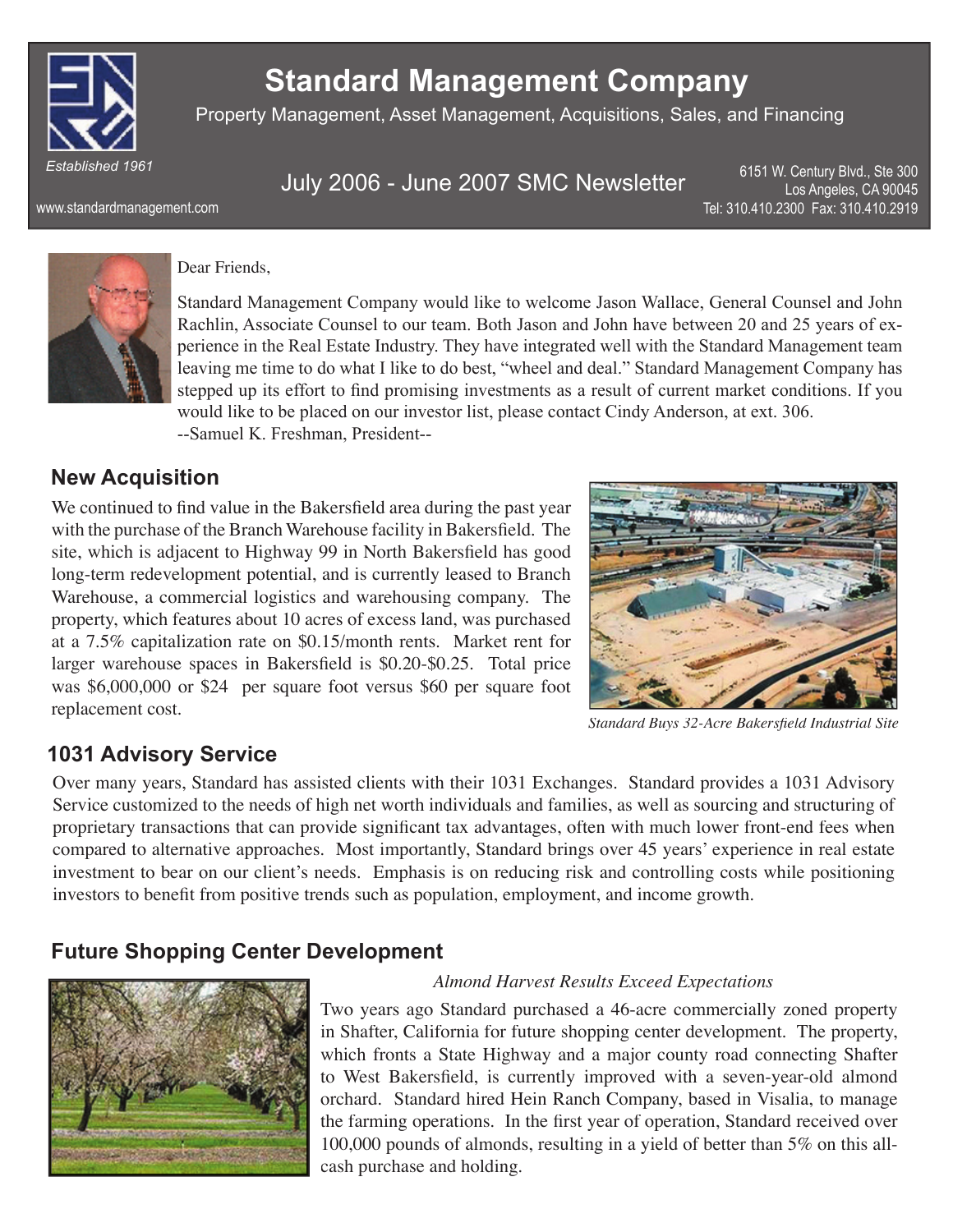

# **Standard Management Company**

Property Management, Asset Management, Acquisitions, Sales, and Financing

www.standardmanagement.com

July 2006 - June 2007 SMC Newsletter

6151 W. Century Blvd., Ste 300 Los Angeles, CA 90045 Tel: 310.410.2300 Fax: 310.410.2919



#### Dear Friends,

Standard Management Company would like to welcome Jason Wallace, General Counsel and John Rachlin, Associate Counsel to our team. Both Jason and John have between 20 and 25 years of experience in the Real Estate Industry. They have integrated well with the Standard Management team leaving me time to do what I like to do best, "wheel and deal." Standard Management Company has stepped up its effort to find promising investments as a result of current market conditions. If you would like to be placed on our investor list, please contact Cindy Anderson, at ext. 306. --Samuel K. Freshman, President--

#### **New Acquisition**

We continued to find value in the Bakersfield area during the past year with the purchase of the Branch Warehouse facility in Bakersfield. The site, which is adjacent to Highway 99 in North Bakersfield has good long-term redevelopment potential, and is currently leased to Branch Warehouse, a commercial logistics and warehousing company. The property, which features about 10 acres of excess land, was purchased at a 7.5% capitalization rate on \$0.15/month rents. Market rent for larger warehouse spaces in Bakersfield is  $$0.20-\$0.25$ . Total price was \$6,000,000 or \$24 per square foot versus \$60 per square foot replacement cost. **Standard Buys 32-Acre Bakersfield Industrial Site** 



### **1031 Advisory Service**

Over many years, Standard has assisted clients with their 1031 Exchanges. Standard provides a 1031 Advisory Service customized to the needs of high net worth individuals and families, as well as sourcing and structuring of proprietary transactions that can provide significant tax advantages, often with much lower front-end fees when compared to alternative approaches. Most importantly, Standard brings over 45 years' experience in real estate investment to bear on our client's needs. Emphasis is on reducing risk and controlling costs while positioning investors to benefit from positive trends such as population, employment, and income growth.

### **Future Shopping Center Development**



#### *Almond Harvest Results Exceed Expectations*

Two years ago Standard purchased a 46-acre commercially zoned property in Shafter, California for future shopping center development. The property, which fronts a State Highway and a major county road connecting Shafter to West Bakersfield, is currently improved with a seven-year-old almond orchard. Standard hired Hein Ranch Company, based in Visalia, to manage the farming operations. In the first year of operation, Standard received over 100,000 pounds of almonds, resulting in a yield of better than 5% on this allcash purchase and holding.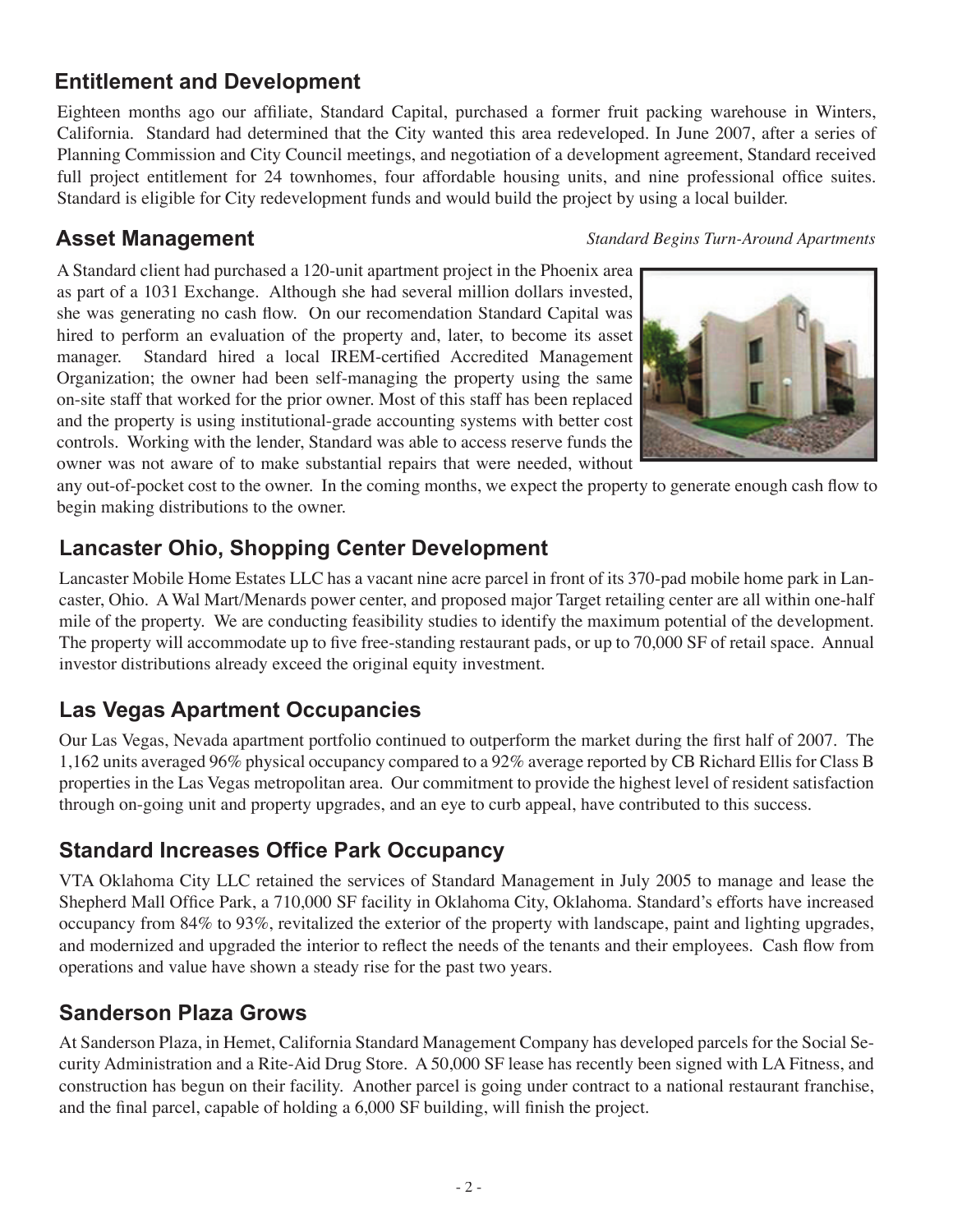# **Entitlement and Development**

Eighteen months ago our affiliate, Standard Capital, purchased a former fruit packing warehouse in Winters, California. Standard had determined that the City wanted this area redeveloped. In June 2007, after a series of Planning Commission and City Council meetings, and negotiation of a development agreement, Standard received full project entitlement for 24 townhomes, four affordable housing units, and nine professional office suites. Standard is eligible for City redevelopment funds and would build the project by using a local builder.

### **Asset Management**

#### *Standard Begins Turn-Around Apartments*

A Standard client had purchased a 120-unit apartment project in the Phoenix area as part of a 1031 Exchange. Although she had several million dollars invested, she was generating no cash flow. On our recomendation Standard Capital was hired to perform an evaluation of the property and, later, to become its asset manager. Standard hired a local IREM-certified Accredited Management Organization; the owner had been self-managing the property using the same on-site staff that worked for the prior owner. Most of this staff has been replaced and the property is using institutional-grade accounting systems with better cost controls. Working with the lender, Standard was able to access reserve funds the owner was not aware of to make substantial repairs that were needed, without



any out-of-pocket cost to the owner. In the coming months, we expect the property to generate enough cash flow to begin making distributions to the owner.

# **Lancaster Ohio, Shopping Center Development**

Lancaster Mobile Home Estates LLC has a vacant nine acre parcel in front of its 370-pad mobile home park in Lancaster, Ohio. A Wal Mart/Menards power center, and proposed major Target retailing center are all within one-half mile of the property. We are conducting feasibility studies to identify the maximum potential of the development. The property will accommodate up to five free-standing restaurant pads, or up to 70,000 SF of retail space. Annual investor distributions already exceed the original equity investment.

# **Las Vegas Apartment Occupancies**

Our Las Vegas, Nevada apartment portfolio continued to outperform the market during the first half of 2007. The 1,162 units averaged 96% physical occupancy compared to a 92% average reported by CB Richard Ellis for Class B properties in the Las Vegas metropolitan area. Our commitment to provide the highest level of resident satisfaction through on-going unit and property upgrades, and an eye to curb appeal, have contributed to this success.

# **Standard Increases Office Park Occupancy**

VTA Oklahoma City LLC retained the services of Standard Management in July 2005 to manage and lease the Shepherd Mall Office Park, a 710,000 SF facility in Oklahoma City, Oklahoma. Standard's efforts have increased occupancy from 84% to 93%, revitalized the exterior of the property with landscape, paint and lighting upgrades, and modernized and upgraded the interior to reflect the needs of the tenants and their employees. Cash flow from operations and value have shown a steady rise for the past two years.

### **Sanderson Plaza Grows**

At Sanderson Plaza, in Hemet, California Standard Management Company has developed parcels for the Social Security Administration and a Rite-Aid Drug Store. A 50,000 SF lease has recently been signed with LA Fitness, and construction has begun on their facility. Another parcel is going under contract to a national restaurant franchise, and the final parcel, capable of holding a  $6,000$  SF building, will finish the project.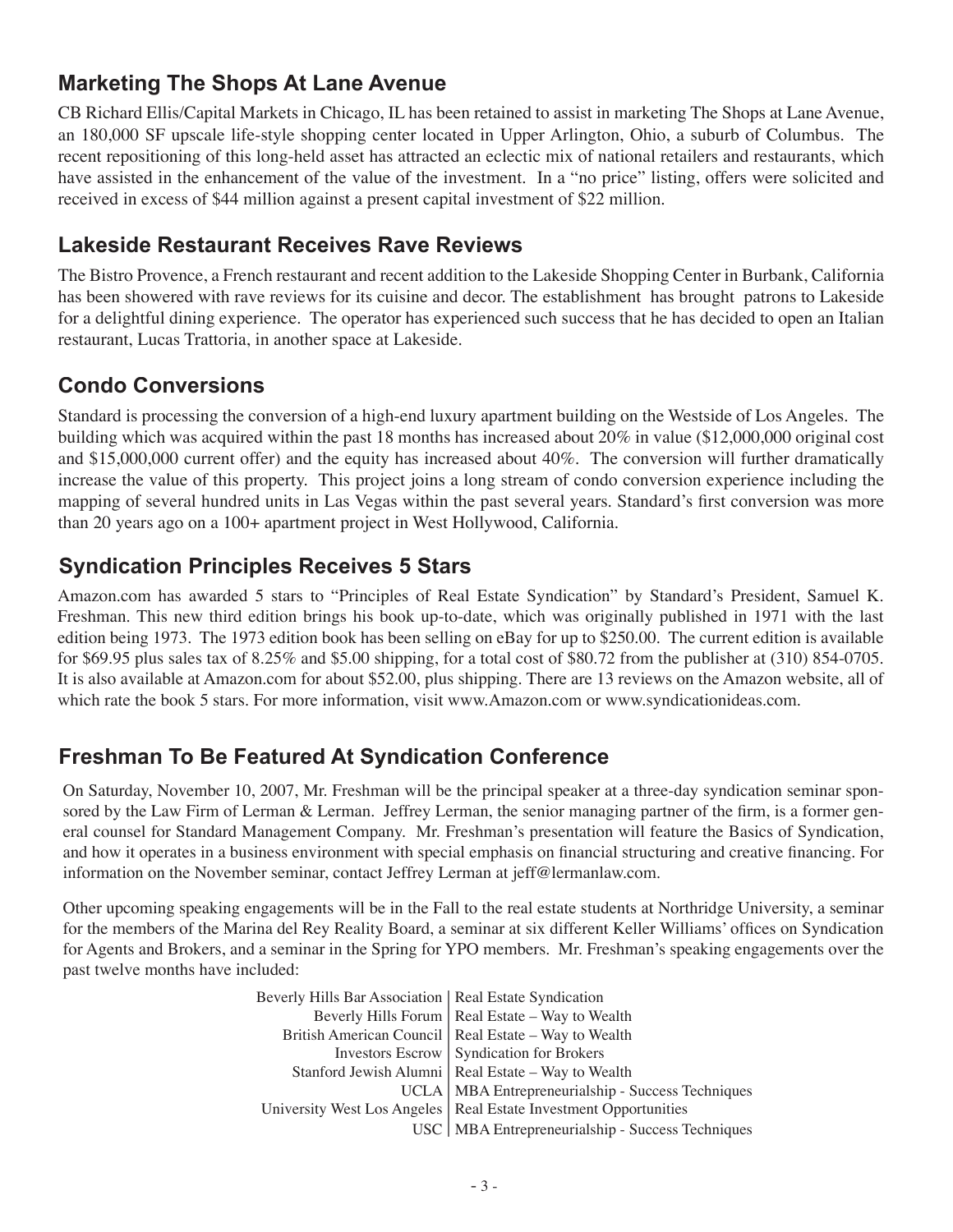## **Marketing The Shops At Lane Avenue**

CB Richard Ellis/Capital Markets in Chicago, IL has been retained to assist in marketing The Shops at Lane Avenue, an 180,000 SF upscale life-style shopping center located in Upper Arlington, Ohio, a suburb of Columbus. The recent repositioning of this long-held asset has attracted an eclectic mix of national retailers and restaurants, which have assisted in the enhancement of the value of the investment. In a "no price" listing, offers were solicited and received in excess of \$44 million against a present capital investment of \$22 million.

#### **Lakeside Restaurant Receives Rave Reviews**

The Bistro Provence, a French restaurant and recent addition to the Lakeside Shopping Center in Burbank, California has been showered with rave reviews for its cuisine and decor. The establishment has brought patrons to Lakeside for a delightful dining experience. The operator has experienced such success that he has decided to open an Italian restaurant, Lucas Trattoria, in another space at Lakeside.

# **Condo Conversions**

Standard is processing the conversion of a high-end luxury apartment building on the Westside of Los Angeles. The building which was acquired within the past 18 months has increased about 20% in value (\$12,000,000 original cost and \$15,000,000 current offer) and the equity has increased about 40%. The conversion will further dramatically increase the value of this property. This project joins a long stream of condo conversion experience including the mapping of several hundred units in Las Vegas within the past several years. Standard's first conversion was more than 20 years ago on a 100+ apartment project in West Hollywood, California.

### **Syndication Principles Receives 5 Stars**

Amazon.com has awarded 5 stars to "Principles of Real Estate Syndication" by Standard's President, Samuel K. Freshman. This new third edition brings his book up-to-date, which was originally published in 1971 with the last edition being 1973. The 1973 edition book has been selling on eBay for up to \$250.00. The current edition is available for \$69.95 plus sales tax of 8.25% and \$5.00 shipping, for a total cost of \$80.72 from the publisher at (310) 854-0705. It is also available at Amazon.com for about \$52.00, plus shipping. There are 13 reviews on the Amazon website, all of which rate the book 5 stars. For more information, visit www.Amazon.com or www.syndicationideas.com.

### **Freshman To Be Featured At Syndication Conference**

On Saturday, November 10, 2007, Mr. Freshman will be the principal speaker at a three-day syndication seminar sponsored by the Law Firm of Lerman  $&$  Lerman. Jeffrey Lerman, the senior managing partner of the firm, is a former general counsel for Standard Management Company. Mr. Freshman's presentation will feature the Basics of Syndication, and how it operates in a business environment with special emphasis on financial structuring and creative financing. For information on the November seminar, contact Jeffrey Lerman at jeff@lermanlaw.com.

Other upcoming speaking engagements will be in the Fall to the real estate students at Northridge University, a seminar for the members of the Marina del Rey Reality Board, a seminar at six different Keller Williams' offices on Syndication for Agents and Brokers, and a seminar in the Spring for YPO members. Mr. Freshman's speaking engagements over the past twelve months have included:

> Beverly Hills Bar Association | Real Estate Syndication Beverly Hills Forum | Real Estate – Way to Wealth British American Council | Real Estate – Way to Wealth Investors Escrow Syndication for Brokers Stanford Jewish Alumni | Real Estate – Way to Wealth UCLA | MBA Entrepreneurialship - Success Techniques University West Los Angeles | Real Estate Investment Opportunities USC | MBA Entrepreneurialship - Success Techniques